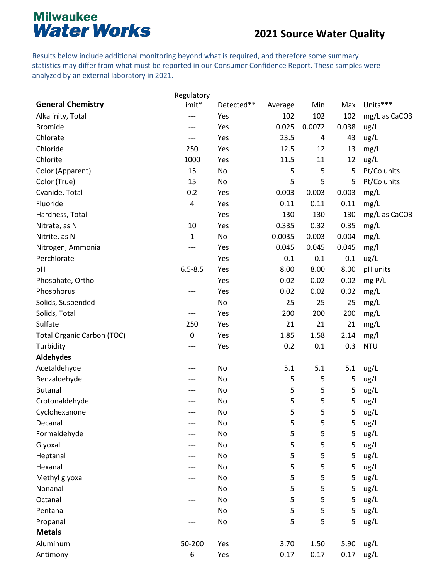#### **2021 Source Water Quality**

Results below include additional monitoring beyond what is required, and therefore some summary statistics may differ from what must be reported in our Consumer Confidence Report. These samples were analyzed by an external laboratory in 2021.

|                                   | Regulatory   |            |         |        |       |               |
|-----------------------------------|--------------|------------|---------|--------|-------|---------------|
| <b>General Chemistry</b>          | Limit*       | Detected** | Average | Min    | Max   | Units***      |
| Alkalinity, Total                 | ---          | Yes        | 102     | 102    | 102   | mg/L as CaCO3 |
| <b>Bromide</b>                    | ---          | Yes        | 0.025   | 0.0072 | 0.038 | ug/L          |
| Chlorate                          | ---          | Yes        | 23.5    | 4      | 43    | ug/L          |
| Chloride                          | 250          | Yes        | 12.5    | 12     | 13    | mg/L          |
| Chlorite                          | 1000         | Yes        | 11.5    | 11     | 12    | ug/L          |
| Color (Apparent)                  | 15           | No         | 5       | 5      | 5     | Pt/Co units   |
| Color (True)                      | 15           | No         | 5       | 5      | 5     | Pt/Co units   |
| Cyanide, Total                    | 0.2          | Yes        | 0.003   | 0.003  | 0.003 | mg/L          |
| Fluoride                          | 4            | Yes        | 0.11    | 0.11   | 0.11  | mg/L          |
| Hardness, Total                   | ---          | Yes        | 130     | 130    | 130   | mg/L as CaCO3 |
| Nitrate, as N                     | 10           | Yes        | 0.335   | 0.32   | 0.35  | mg/L          |
| Nitrite, as N                     | $\mathbf{1}$ | No         | 0.0035  | 0.003  | 0.004 | mg/L          |
| Nitrogen, Ammonia                 | ---          | Yes        | 0.045   | 0.045  | 0.045 | mg/l          |
| Perchlorate                       | ---          | Yes        | 0.1     | 0.1    | 0.1   | ug/L          |
| pH                                | $6.5 - 8.5$  | Yes        | 8.00    | 8.00   | 8.00  | pH units      |
| Phosphate, Ortho                  | ---          | Yes        | 0.02    | 0.02   | 0.02  | mg P/L        |
| Phosphorus                        | ---          | Yes        | 0.02    | 0.02   | 0.02  | mg/L          |
| Solids, Suspended                 | ---          | No         | 25      | 25     | 25    | mg/L          |
| Solids, Total                     | ---          | Yes        | 200     | 200    | 200   | mg/L          |
| Sulfate                           | 250          | Yes        | 21      | 21     | 21    | mg/L          |
| <b>Total Organic Carbon (TOC)</b> | 0            | Yes        | 1.85    | 1.58   | 2.14  | mg/l          |
| Turbidity                         |              | Yes        | 0.2     | 0.1    | 0.3   | <b>NTU</b>    |
| <b>Aldehydes</b>                  |              |            |         |        |       |               |
| Acetaldehyde                      | ---          | No         | 5.1     | 5.1    | 5.1   | ug/L          |
| Benzaldehyde                      | ---          | No         | 5       | 5      | 5     | ug/L          |
| <b>Butanal</b>                    |              | No         | 5       | 5      | 5     | ug/L          |
| Crotonaldehyde                    |              | No         | 5       | 5      | 5     | ug/L          |
| Cyclohexanone                     | ---          | No         | 5       | 5      | 5     | ug/L          |
| Decanal                           | ---          | No         | 5       | 5      | 5     | ug/L          |
| Formaldehyde                      |              | No         | 5       | 5      | 5     | ug/L          |
| Glyoxal                           |              | No         | 5       | 5      | 5     | ug/L          |
| Heptanal                          |              | No         | 5       | 5      | 5     | ug/L          |
| Hexanal                           | ---          | No         | 5       | 5      | 5     | ug/L          |
| Methyl glyoxal                    |              | No         | 5       | 5      | 5     | ug/L          |
| Nonanal                           |              | No         | 5       | 5      | 5     | ug/L          |
| Octanal                           |              | No         | 5       | 5      | 5     | ug/L          |
| Pentanal                          |              | No         | 5       | 5      | 5     | ug/L          |
| Propanal                          |              | No         | 5       | 5      | 5     | ug/L          |
| <b>Metals</b>                     |              |            |         |        |       |               |
| Aluminum                          | 50-200       | Yes        | 3.70    | 1.50   | 5.90  | ug/L          |
| Antimony                          | 6            | Yes        | 0.17    | 0.17   | 0.17  | ug/L          |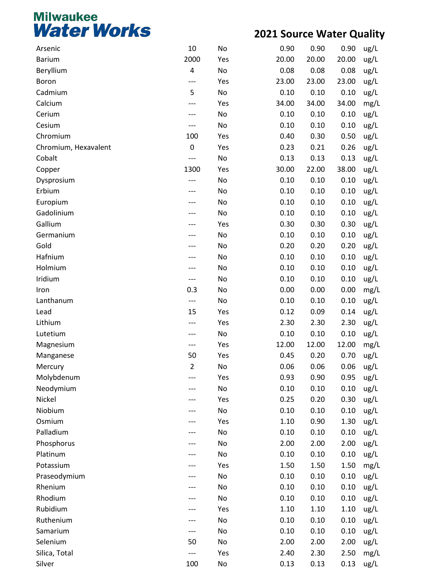| Arsenic              | 10    | No                           | 0.90  | 0.90  | 0.90  | ug/L |
|----------------------|-------|------------------------------|-------|-------|-------|------|
| <b>Barium</b>        | 2000  | Yes                          | 20.00 | 20.00 | 20.00 | ug/L |
| Beryllium            | 4     | No                           | 0.08  | 0.08  | 0.08  | ug/L |
| Boron                | ---   | Yes                          | 23.00 | 23.00 | 23.00 | ug/L |
| Cadmium              | 5     | No                           | 0.10  | 0.10  | 0.10  | ug/L |
| Calcium              | ---   | Yes                          | 34.00 | 34.00 | 34.00 | mg/L |
| Cerium               | ---   | No                           | 0.10  | 0.10  | 0.10  | ug/L |
| Cesium               | ---   | No                           | 0.10  | 0.10  | 0.10  | ug/L |
| Chromium             | 100   | Yes                          | 0.40  | 0.30  | 0.50  | ug/L |
| Chromium, Hexavalent | 0     | Yes                          | 0.23  | 0.21  | 0.26  | ug/L |
| Cobalt               | $---$ | No                           | 0.13  | 0.13  | 0.13  | ug/L |
| Copper               | 1300  | Yes                          | 30.00 | 22.00 | 38.00 | ug/L |
| Dysprosium           | ---   | No                           | 0.10  | 0.10  | 0.10  | ug/L |
| Erbium               |       | No                           | 0.10  | 0.10  | 0.10  | ug/L |
| Europium             |       | No                           | 0.10  | 0.10  | 0.10  | ug/L |
| Gadolinium           |       | No                           | 0.10  | 0.10  | 0.10  | ug/L |
| Gallium              |       | Yes                          | 0.30  | 0.30  | 0.30  | ug/L |
| Germanium            |       | No                           | 0.10  | 0.10  | 0.10  | ug/L |
| Gold                 | ---   | No                           | 0.20  | 0.20  | 0.20  | ug/L |
| Hafnium              |       | No                           | 0.10  | 0.10  | 0.10  | ug/L |
| Holmium              |       | No                           | 0.10  | 0.10  | 0.10  | ug/L |
| Iridium              | ---   | No                           | 0.10  | 0.10  | 0.10  | ug/L |
| Iron                 | 0.3   | No                           | 0.00  | 0.00  | 0.00  | mg/L |
| Lanthanum            | ---   | No                           | 0.10  | 0.10  | 0.10  | ug/L |
| Lead                 | 15    | Yes                          | 0.12  | 0.09  | 0.14  | ug/L |
| Lithium              | ---   | Yes                          | 2.30  | 2.30  | 2.30  | ug/L |
| Lutetium             | ---   | No                           | 0.10  | 0.10  | 0.10  | ug/L |
| Magnesium            | ---   | Yes                          | 12.00 | 12.00 | 12.00 | mg/L |
| Manganese            | 50    | Yes                          | 0.45  | 0.20  | 0.70  | ug/L |
| Mercury              | 2     | No                           | 0.06  | 0.06  | 0.06  | ug/L |
| Molybdenum           |       | Yes                          | 0.93  | 0.90  | 0.95  |      |
| Neodymium            |       | No                           | 0.10  | 0.10  | 0.10  | ug/L |
| Nickel               |       |                              | 0.25  | 0.20  | 0.30  | ug/L |
| Niobium              |       | Yes<br>No                    | 0.10  |       |       | ug/L |
|                      |       |                              |       | 0.10  | 0.10  | ug/L |
| Osmium               |       | Yes                          | 1.10  | 0.90  | 1.30  | ug/L |
| Palladium            |       | No                           | 0.10  | 0.10  | 0.10  | ug/L |
| Phosphorus           |       | No                           | 2.00  | 2.00  | 2.00  | ug/L |
| Platinum             |       | No                           | 0.10  | 0.10  | 0.10  | ug/L |
| Potassium            |       | Yes                          | 1.50  | 1.50  | 1.50  | mg/L |
| Praseodymium         |       | No                           | 0.10  | 0.10  | 0.10  | ug/L |
| Rhenium              |       | No                           | 0.10  | 0.10  | 0.10  | ug/L |
| Rhodium              |       | No                           | 0.10  | 0.10  | 0.10  | ug/L |
| Rubidium             |       | Yes                          | 1.10  | 1.10  | 1.10  | ug/L |
| Ruthenium            |       | No                           | 0.10  | 0.10  | 0.10  | ug/L |
| Samarium             | ---   | No                           | 0.10  | 0.10  | 0.10  | ug/L |
| Selenium             | 50    | No                           | 2.00  | 2.00  | 2.00  | ug/L |
| Silica, Total        | ---   | Yes                          | 2.40  | 2.30  | 2.50  | mg/L |
| Silver               | 100   | $\operatorname{\mathsf{No}}$ | 0.13  | 0.13  | 0.13  | ug/L |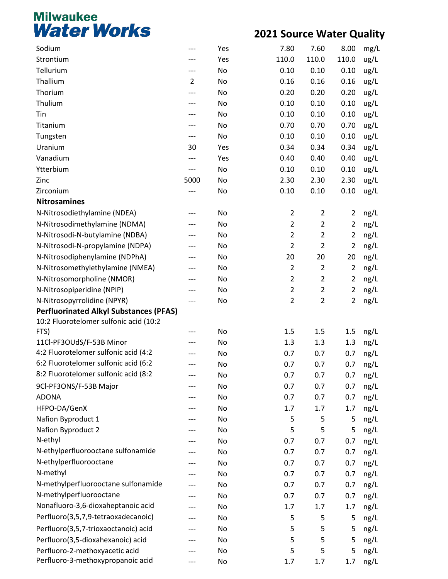| Sodium                                        | ---            | Yes | 7.80           | 7.60           | 8.00           | mg/L |
|-----------------------------------------------|----------------|-----|----------------|----------------|----------------|------|
| Strontium                                     |                | Yes | 110.0          | 110.0          | 110.0          | ug/L |
| Tellurium                                     | ---            | No  | 0.10           | 0.10           | 0.10           | ug/L |
| Thallium                                      | $\overline{2}$ | No  | 0.16           | 0.16           | 0.16           | ug/L |
| Thorium                                       | ---            | No  | 0.20           | 0.20           | 0.20           | ug/L |
| Thulium                                       | ---            | No  | 0.10           | 0.10           | 0.10           | ug/L |
| Tin                                           | ---            | No  | 0.10           | 0.10           | 0.10           | ug/L |
| Titanium                                      |                | No  | 0.70           | 0.70           | 0.70           | ug/L |
| Tungsten                                      | ---            | No  | 0.10           | 0.10           | 0.10           | ug/L |
| Uranium                                       | 30             | Yes | 0.34           | 0.34           | 0.34           | ug/L |
| Vanadium                                      | ---            | Yes | 0.40           | 0.40           | 0.40           | ug/L |
| Ytterbium                                     | ---            | No  | 0.10           | 0.10           | 0.10           | ug/L |
| Zinc                                          | 5000           | No  | 2.30           | 2.30           | 2.30           | ug/L |
| Zirconium                                     | ---            | No  | 0.10           | 0.10           | 0.10           | ug/L |
| <b>Nitrosamines</b>                           |                |     |                |                |                |      |
| N-Nitrosodiethylamine (NDEA)                  |                | No  | $\overline{2}$ | $\overline{2}$ | $\overline{2}$ | ng/L |
| N-Nitrosodimethylamine (NDMA)                 |                | No  | $\overline{2}$ | $\overline{2}$ | $\overline{2}$ | ng/L |
| N-Nitrosodi-N-butylamine (NDBA)               |                | No  | $\overline{2}$ | $\mathbf 2$    | $\overline{2}$ | ng/L |
| N-Nitrosodi-N-propylamine (NDPA)              | ---            | No  | $\overline{2}$ | $\overline{2}$ | $\overline{2}$ | ng/L |
| N-Nitrosodiphenylamine (NDPhA)                |                | No  | 20             | 20             | 20             | ng/L |
| N-Nitrosomethylethylamine (NMEA)              |                | No  | $\overline{2}$ | $\overline{2}$ | $\overline{2}$ | ng/L |
| N-Nitrosomorpholine (NMOR)                    |                | No  | $\overline{2}$ | $\mathbf 2$    | $\overline{2}$ | ng/L |
| N-Nitrosopiperidine (NPIP)                    | ---            | No  | $\overline{2}$ | $\overline{2}$ | $\overline{2}$ | ng/L |
| N-Nitrosopyrrolidine (NPYR)                   | ---            | No  | $\overline{2}$ | $\overline{2}$ | $\overline{2}$ | ng/L |
| <b>Perfluorinated Alkyl Substances (PFAS)</b> |                |     |                |                |                |      |
| 10:2 Fluorotelomer sulfonic acid (10:2        |                |     |                |                |                |      |
| FTS)                                          |                | No  | 1.5            | 1.5            | 1.5            | ng/L |
| 11Cl-PF3OUdS/F-53B Minor                      |                | No  | 1.3            | 1.3            | 1.3            | ng/L |
| 4:2 Fluorotelomer sulfonic acid (4:2          |                | No  | 0.7            | 0.7            | 0.7            | ng/L |
| 6:2 Fluorotelomer sulfonic acid (6:2          |                | No  | 0.7            | 0.7            | 0.7            | ng/L |
| 8:2 Fluorotelomer sulfonic acid (8:2          |                | No  | 0.7            | 0.7            | 0.7            | ng/L |
| 9Cl-PF3ONS/F-53B Major                        |                | No  | 0.7            | 0.7            | 0.7            | ng/L |
| <b>ADONA</b>                                  |                | No  | 0.7            | 0.7            | 0.7            | ng/L |
| HFPO-DA/GenX                                  |                | No  | 1.7            | 1.7            | 1.7            | ng/L |
| Nafion Byproduct 1                            |                | No  | 5              | 5              | 5              | ng/L |
| Nafion Byproduct 2                            |                | No  | 5              | 5              | 5              | ng/L |
| N-ethyl                                       |                | No  | 0.7            | 0.7            | 0.7            | ng/L |
| N-ethylperfluorooctane sulfonamide            |                | No  | 0.7            | 0.7            | 0.7            | ng/L |
| N-ethylperfluorooctane                        |                | No  | 0.7            | 0.7            | 0.7            | ng/L |
| N-methyl                                      |                | No  | 0.7            | 0.7            | 0.7            | ng/L |
| N-methylperfluorooctane sulfonamide           |                | No  | 0.7            | 0.7            | 0.7            | ng/L |
| N-methylperfluorooctane                       |                | No  | 0.7            | 0.7            | 0.7            | ng/L |
| Nonafluoro-3,6-dioxaheptanoic acid            |                | No  | 1.7            | 1.7            | 1.7            | ng/L |
| Perfluoro(3,5,7,9-tetraoxadecanoic)           |                | No  | 5              | 5              | 5              | ng/L |
| Perfluoro(3,5,7-trioxaoctanoic) acid          |                | No  | 5              | 5              | 5              | ng/L |
| Perfluoro(3,5-dioxahexanoic) acid             |                | No  | 5              | 5              | 5              | ng/L |
| Perfluoro-2-methoxyacetic acid                |                | No  | 5              | 5              | 5              | ng/L |
| Perfluoro-3-methoxypropanoic acid             | ---            | No  | 1.7            | 1.7            | 1.7            | ng/L |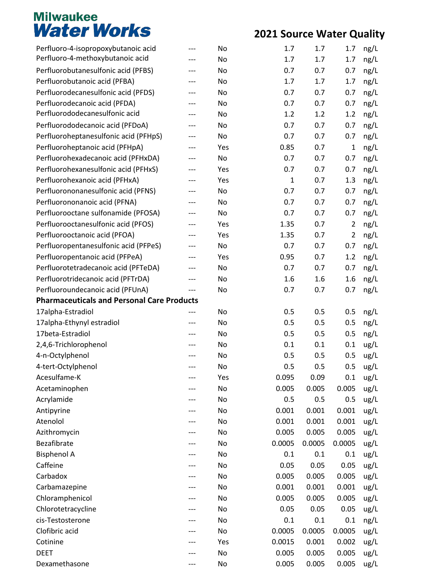| Perfluoro-4-isopropoxybutanoic acid               | --- | No  | 1.7    | 1.7    | 1.7            | ng/L |
|---------------------------------------------------|-----|-----|--------|--------|----------------|------|
| Perfluoro-4-methoxybutanoic acid                  | --- | No  | 1.7    | 1.7    | 1.7            | ng/L |
| Perfluorobutanesulfonic acid (PFBS)               | --- | No  | 0.7    | 0.7    | 0.7            | ng/L |
| Perfluorobutanoic acid (PFBA)                     | --- | No  | 1.7    | 1.7    | 1.7            | ng/L |
| Perfluorodecanesulfonic acid (PFDS)               | --- | No  | 0.7    | 0.7    | 0.7            | ng/L |
| Perfluorodecanoic acid (PFDA)                     | --- | No  | 0.7    | 0.7    | 0.7            | ng/L |
| Perfluorododecanesulfonic acid                    | --- | No  | 1.2    | 1.2    | 1.2            | ng/L |
| Perfluorododecanoic acid (PFDoA)                  | --- | No  | 0.7    | 0.7    | 0.7            | ng/L |
| Perfluoroheptanesulfonic acid (PFHpS)             |     | No  | 0.7    | 0.7    | 0.7            | ng/L |
| Perfluoroheptanoic acid (PFHpA)                   | --- | Yes | 0.85   | 0.7    | $\mathbf{1}$   | ng/L |
| Perfluorohexadecanoic acid (PFHxDA)               | --- | No  | 0.7    | 0.7    | 0.7            | ng/L |
| Perfluorohexanesulfonic acid (PFHxS)              | --- | Yes | 0.7    | 0.7    | 0.7            | ng/L |
| Perfluorohexanoic acid (PFHxA)                    | --- | Yes | 1      | 0.7    | 1.3            | ng/L |
| Perfluorononanesulfonic acid (PFNS)               | --- | No  | 0.7    | 0.7    | 0.7            | ng/L |
| Perfluorononanoic acid (PFNA)                     | --- | No  | 0.7    | 0.7    | 0.7            | ng/L |
| Perfluorooctane sulfonamide (PFOSA)               | --- | No  | 0.7    | 0.7    | 0.7            | ng/L |
| Perfluorooctanesulfonic acid (PFOS)               |     | Yes | 1.35   | 0.7    | $\overline{2}$ | ng/L |
| Perfluorooctanoic acid (PFOA)                     | --- | Yes | 1.35   | 0.7    | $\overline{2}$ | ng/L |
| Perfluoropentanesulfonic acid (PFPeS)             | --- | No  | 0.7    | 0.7    | 0.7            | ng/L |
| Perfluoropentanoic acid (PFPeA)                   | --- | Yes | 0.95   | 0.7    | 1.2            | ng/L |
| Perfluorotetradecanoic acid (PFTeDA)              | --- | No  | 0.7    | 0.7    | 0.7            | ng/L |
| Perfluorotridecanoic acid (PFTrDA)                | --- | No  | 1.6    | 1.6    | 1.6            | ng/L |
| Perfluoroundecanoic acid (PFUnA)                  | --- | No  | 0.7    | 0.7    | 0.7            | ng/L |
| <b>Pharmaceuticals and Personal Care Products</b> |     |     |        |        |                |      |
| 17alpha-Estradiol                                 |     | No  | 0.5    | 0.5    | 0.5            | ng/L |
| 17alpha-Ethynyl estradiol                         | --- | No  | 0.5    | 0.5    | 0.5            | ng/L |
| 17beta-Estradiol                                  | --- | No  | 0.5    | 0.5    | 0.5            | ng/L |
| 2,4,6-Trichlorophenol                             |     | No  | 0.1    | 0.1    | 0.1            | ug/L |
| 4-n-Octylphenol                                   |     | No  | 0.5    | 0.5    | 0.5            | ug/L |
| 4-tert-Octylphenol                                | --- | No  | 0.5    | 0.5    | 0.5            | ug/L |
| Acesulfame-K                                      |     | Yes | 0.095  | 0.09   | 0.1            | ug/L |
| Acetaminophen                                     |     | No  | 0.005  | 0.005  | 0.005          | ug/L |
| Acrylamide                                        |     | No  | 0.5    | 0.5    | 0.5            | ug/L |
| Antipyrine                                        |     | No  | 0.001  | 0.001  | 0.001          | ug/L |
| Atenolol                                          |     | No  | 0.001  | 0.001  | 0.001          | ug/L |
| Azithromycin                                      |     | No  | 0.005  | 0.005  | 0.005          | ug/L |
| Bezafibrate                                       |     | No  | 0.0005 | 0.0005 | 0.0005         | ug/L |
| <b>Bisphenol A</b>                                |     | No  | 0.1    | 0.1    | 0.1            | ug/L |
| Caffeine                                          |     | No  | 0.05   | 0.05   | 0.05           | ug/L |
| Carbadox                                          |     | No  | 0.005  | 0.005  | 0.005          | ug/L |
| Carbamazepine                                     |     | No  | 0.001  | 0.001  | 0.001          | ug/L |
| Chloramphenicol                                   |     | No  | 0.005  | 0.005  | 0.005          | ug/L |
| Chlorotetracycline                                |     | No  | 0.05   | 0.05   | 0.05           | ug/L |
| cis-Testosterone                                  |     | No  | 0.1    | 0.1    | 0.1            | ng/L |
| Clofibric acid                                    |     | No  | 0.0005 | 0.0005 | 0.0005         | ug/L |
| Cotinine                                          |     | Yes | 0.0015 | 0.001  | 0.002          | ug/L |
| <b>DEET</b>                                       |     | No  | 0.005  | 0.005  | 0.005          | ug/L |
| Dexamethasone                                     |     | No  | 0.005  | 0.005  | 0.005          | ug/L |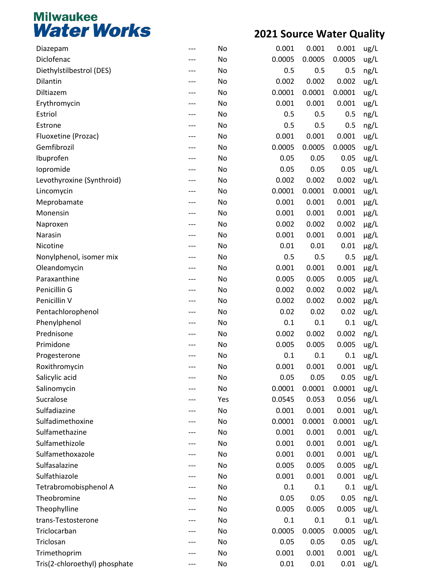| Diazepam                      | --- | No  | 0.001  | 0.001  | 0.001  | ug/L      |
|-------------------------------|-----|-----|--------|--------|--------|-----------|
| Diclofenac                    |     | No  | 0.0005 | 0.0005 | 0.0005 | ug/L      |
| Diethylstilbestrol (DES)      | --- | No  | 0.5    | 0.5    | 0.5    | ng/L      |
| <b>Dilantin</b>               |     | No  | 0.002  | 0.002  | 0.002  | ug/L      |
| Diltiazem                     |     | No  | 0.0001 | 0.0001 | 0.0001 | ug/L      |
| Erythromycin                  | --- | No  | 0.001  | 0.001  | 0.001  | ug/L      |
| Estriol                       | --- | No  | 0.5    | 0.5    | 0.5    | ng/L      |
| Estrone                       | --- | No  | 0.5    | 0.5    | 0.5    | ng/L      |
| Fluoxetine (Prozac)           |     | No  | 0.001  | 0.001  | 0.001  | ug/L      |
| Gemfibrozil                   |     | No  | 0.0005 | 0.0005 | 0.0005 | ug/L      |
| Ibuprofen                     | --- | No  | 0.05   | 0.05   | 0.05   | ug/L      |
| lopromide                     | --- | No  | 0.05   | 0.05   | 0.05   | ug/L      |
| Levothyroxine (Synthroid)     |     | No  | 0.002  | 0.002  | 0.002  | ug/L      |
| Lincomycin                    | --- | No  | 0.0001 | 0.0001 | 0.0001 | ug/L      |
| Meprobamate                   | --- | No  | 0.001  | 0.001  | 0.001  | $\mu$ g/L |
| Monensin                      |     | No  | 0.001  | 0.001  | 0.001  | $\mu$ g/L |
| Naproxen                      |     | No  | 0.002  | 0.002  | 0.002  | $\mu$ g/L |
| Narasin                       | --- | No  | 0.001  | 0.001  | 0.001  | $\mu$ g/L |
| Nicotine                      | --- | No  | 0.01   | 0.01   | 0.01   | $\mu$ g/L |
| Nonylphenol, isomer mix       |     | No  | 0.5    | 0.5    | 0.5    | $\mu$ g/L |
| Oleandomycin                  |     | No  | 0.001  | 0.001  | 0.001  | $\mu$ g/L |
| Paraxanthine                  | --- | No  | 0.005  | 0.005  | 0.005  | $\mu$ g/L |
| Penicillin G                  | --- | No  | 0.002  | 0.002  | 0.002  | $\mu$ g/L |
| Penicillin V                  |     | No  | 0.002  | 0.002  | 0.002  | $\mu$ g/L |
| Pentachlorophenol             |     | No  | 0.02   | 0.02   | 0.02   | ug/L      |
| Phenylphenol                  |     | No  | 0.1    | 0.1    | 0.1    | ug/L      |
| Prednisone                    | --- | No  | 0.002  | 0.002  | 0.002  | ng/L      |
| Primidone                     |     | No  | 0.005  | 0.005  | 0.005  | ug/L      |
| Progesterone                  |     | No  | 0.1    | 0.1    | 0.1    | ug/L      |
| Roxithromycin                 |     | No  | 0.001  | 0.001  | 0.001  | ug/L      |
| Salicylic acid                |     | No  | 0.05   | 0.05   | 0.05   | ug/L      |
| Salinomycin                   |     | No  | 0.0001 | 0.0001 | 0.0001 | ug/L      |
| Sucralose                     | --- | Yes | 0.0545 | 0.053  | 0.056  | ug/L      |
| Sulfadiazine                  |     | No  | 0.001  | 0.001  | 0.001  | ug/L      |
| Sulfadimethoxine              |     | No  | 0.0001 | 0.0001 | 0.0001 | ug/L      |
| Sulfamethazine                | --- | No  | 0.001  | 0.001  | 0.001  | ug/L      |
| Sulfamethizole                | --- | No  | 0.001  | 0.001  | 0.001  | ug/L      |
| Sulfamethoxazole              |     | No  | 0.001  | 0.001  | 0.001  | ug/L      |
| Sulfasalazine                 |     | No  | 0.005  | 0.005  | 0.005  | ug/L      |
| Sulfathiazole                 |     | No  | 0.001  | 0.001  | 0.001  | ug/L      |
| Tetrabromobisphenol A         | --- | No  | 0.1    | 0.1    | 0.1    | ug/L      |
| Theobromine                   |     | No  | 0.05   | 0.05   | 0.05   | ng/L      |
| Theophylline                  |     | No  | 0.005  | 0.005  | 0.005  | ug/L      |
| trans-Testosterone            | --- | No  | 0.1    | 0.1    | 0.1    | ug/L      |
| Triclocarban                  | --- | No  | 0.0005 | 0.0005 | 0.0005 | ug/L      |
| Triclosan                     |     | No  | 0.05   | 0.05   | 0.05   | ug/L      |
| Trimethoprim                  |     | No  | 0.001  | 0.001  | 0.001  | ug/L      |
| Tris(2-chloroethyl) phosphate | --- | No  | 0.01   | 0.01   | 0.01   | ug/L      |
|                               |     |     |        |        |        |           |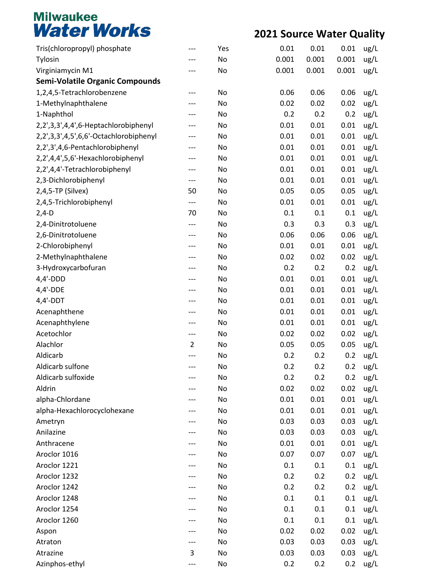| Tris(chloropropyl) phosphate           | ---            | Yes | 0.01  | 0.01  | 0.01  | ug/L |
|----------------------------------------|----------------|-----|-------|-------|-------|------|
| Tylosin                                | ---            | No  | 0.001 | 0.001 | 0.001 | ug/L |
| Virginiamycin M1                       | ---            | No  | 0.001 | 0.001 | 0.001 | ug/L |
| <b>Semi-Volatile Organic Compounds</b> |                |     |       |       |       |      |
| 1,2,4,5-Tetrachlorobenzene             | ---            | No  | 0.06  | 0.06  | 0.06  | ug/L |
| 1-Methylnaphthalene                    | ---            | No  | 0.02  | 0.02  | 0.02  | ug/L |
| 1-Naphthol                             | ---            | No  | 0.2   | 0.2   | 0.2   | ug/L |
| 2,2',3,3',4,4',6-Heptachlorobiphenyl   |                | No  | 0.01  | 0.01  | 0.01  | ug/L |
| 2,2',3,3',4,5',6,6'-Octachlorobiphenyl | ---            | No  | 0.01  | 0.01  | 0.01  | ug/L |
| 2,2',3',4,6-Pentachlorobiphenyl        | ---            | No  | 0.01  | 0.01  | 0.01  | ug/L |
| 2,2',4,4',5,6'-Hexachlorobiphenyl      | ---            | No  | 0.01  | 0.01  | 0.01  | ug/L |
| 2,2',4,4'-Tetrachlorobiphenyl          | ---            | No  | 0.01  | 0.01  | 0.01  | ug/L |
| 2,3-Dichlorobiphenyl                   | ---            | No  | 0.01  | 0.01  | 0.01  | ug/L |
| 2,4,5-TP (Silvex)                      | 50             | No  | 0.05  | 0.05  | 0.05  | ug/L |
| 2,4,5-Trichlorobiphenyl                | ---            | No  | 0.01  | 0.01  | 0.01  | ug/L |
| $2,4-D$                                | 70             | No  | 0.1   | 0.1   | 0.1   | ug/L |
| 2,4-Dinitrotoluene                     | ---            | No  | 0.3   | 0.3   | 0.3   | ug/L |
| 2,6-Dinitrotoluene                     | ---            | No  | 0.06  | 0.06  | 0.06  | ug/L |
| 2-Chlorobiphenyl                       | ---            | No  | 0.01  | 0.01  | 0.01  | ug/L |
| 2-Methylnaphthalene                    |                | No  | 0.02  | 0.02  | 0.02  | ug/L |
| 3-Hydroxycarbofuran                    | ---            | No  | 0.2   | 0.2   | 0.2   | ug/L |
| 4,4'-DDD                               | ---            | No  | 0.01  | 0.01  | 0.01  | ug/L |
| 4,4'-DDE                               | ---            | No  | 0.01  | 0.01  | 0.01  | ug/L |
| $4,4'-DDT$                             |                | No  | 0.01  | 0.01  | 0.01  | ug/L |
| Acenaphthene                           | ---            | No  | 0.01  | 0.01  | 0.01  | ug/L |
| Acenaphthylene                         | ---            | No  | 0.01  | 0.01  | 0.01  | ug/L |
| Acetochlor                             | ---            | No  | 0.02  | 0.02  | 0.02  | ug/L |
| Alachlor                               | $\overline{2}$ | No  | 0.05  | 0.05  | 0.05  | ug/L |
| Aldicarb                               |                | No  | 0.2   | 0.2   | 0.2   | ug/L |
| Aldicarb sulfone                       | ---            | No  | 0.2   | 0.2   | 0.2   | ug/L |
| Aldicarb sulfoxide                     |                | No  | 0.2   | 0.2   | 0.2   | ug/L |
| Aldrin                                 |                | No  | 0.02  | 0.02  | 0.02  | ug/L |
| alpha-Chlordane                        |                | No  | 0.01  | 0.01  | 0.01  | ug/L |
| alpha-Hexachlorocyclohexane            |                | No  | 0.01  | 0.01  | 0.01  | ug/L |
| Ametryn                                |                | No  | 0.03  | 0.03  | 0.03  | ug/L |
| Anilazine                              |                | No  | 0.03  | 0.03  | 0.03  | ug/L |
| Anthracene                             |                | No  | 0.01  | 0.01  | 0.01  | ug/L |
| Aroclor 1016                           |                | No  | 0.07  | 0.07  | 0.07  | ug/L |
| Aroclor 1221                           |                | No  | 0.1   | 0.1   | 0.1   | ug/L |
| Aroclor 1232                           |                | No  | 0.2   | 0.2   | 0.2   | ug/L |
| Aroclor 1242                           |                | No  | 0.2   | 0.2   | 0.2   | ug/L |
| Aroclor 1248                           |                | No  | 0.1   | 0.1   | 0.1   | ug/L |
| Aroclor 1254                           |                | No  | 0.1   | 0.1   | 0.1   | ug/L |
| Aroclor 1260                           |                | No  | 0.1   | 0.1   | 0.1   | ug/L |
| Aspon                                  |                | No  | 0.02  | 0.02  | 0.02  | ug/L |
| Atraton                                |                | No  | 0.03  | 0.03  | 0.03  | ug/L |
| Atrazine                               | 3              | No  | 0.03  | 0.03  | 0.03  | ug/L |
| Azinphos-ethyl                         |                | No  | 0.2   | 0.2   | 0.2   | ug/L |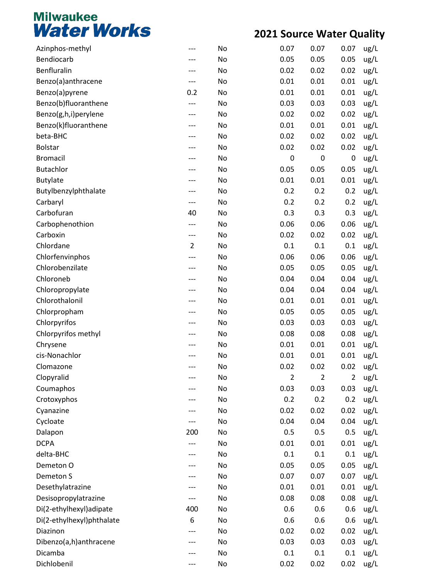| Azinphos-methyl           |                | No | 0.07           | 0.07           | 0.07           | ug/L |
|---------------------------|----------------|----|----------------|----------------|----------------|------|
| Bendiocarb                |                | No | 0.05           | 0.05           | 0.05           | ug/L |
| Benfluralin               | ---            | No | 0.02           | 0.02           | 0.02           | ug/L |
| Benzo(a)anthracene        | ---            | No | 0.01           | 0.01           | 0.01           | ug/L |
| Benzo(a)pyrene            | 0.2            | No | 0.01           | 0.01           | 0.01           | ug/L |
| Benzo(b)fluoranthene      | ---            | No | 0.03           | 0.03           | 0.03           | ug/L |
| Benzo(g,h,i)perylene      | ---            | No | 0.02           | 0.02           | 0.02           | ug/L |
| Benzo(k)fluoranthene      |                | No | 0.01           | 0.01           | 0.01           | ug/L |
| beta-BHC                  | ---            | No | 0.02           | 0.02           | 0.02           | ug/L |
| <b>Bolstar</b>            | ---            | No | 0.02           | 0.02           | 0.02           | ug/L |
| <b>Bromacil</b>           | ---            | No | 0              | 0              | $\mathbf 0$    | ug/L |
| <b>Butachlor</b>          |                | No | 0.05           | 0.05           | 0.05           | ug/L |
| <b>Butylate</b>           | ---            | No | 0.01           | 0.01           | 0.01           | ug/L |
| Butylbenzylphthalate      | ---            | No | 0.2            | 0.2            | 0.2            | ug/L |
| Carbaryl                  | ---            | No | 0.2            | 0.2            | 0.2            | ug/L |
| Carbofuran                | 40             | No | 0.3            | 0.3            | 0.3            | ug/L |
| Carbophenothion           | ---            | No | 0.06           | 0.06           | 0.06           | ug/L |
| Carboxin                  | ---            | No | 0.02           | 0.02           | 0.02           | ug/L |
| Chlordane                 | $\overline{2}$ | No | 0.1            | 0.1            | 0.1            | ug/L |
| Chlorfenvinphos           |                | No | 0.06           | 0.06           | 0.06           | ug/L |
| Chlorobenzilate           | ---            | No | 0.05           | 0.05           | 0.05           | ug/L |
| Chloroneb                 |                | No | 0.04           | 0.04           | 0.04           | ug/L |
| Chloropropylate           | ---            | No | 0.04           | 0.04           | 0.04           | ug/L |
| Chlorothalonil            |                | No | 0.01           | 0.01           | 0.01           | ug/L |
| Chlorpropham              | ---            | No | 0.05           | 0.05           | 0.05           | ug/L |
| Chlorpyrifos              |                | No | 0.03           | 0.03           | 0.03           | ug/L |
| Chlorpyrifos methyl       | ---            | No | 0.08           | 0.08           | 0.08           | ug/L |
| Chrysene                  |                | No | 0.01           | 0.01           | 0.01           | ug/L |
| cis-Nonachlor             |                | No | 0.01           | 0.01           | 0.01           | ug/L |
| Clomazone                 |                | No | 0.02           | 0.02           | 0.02           | ug/L |
| Clopyralid                |                | No | $\overline{2}$ | $\overline{2}$ | $\overline{2}$ |      |
| Coumaphos                 |                | No | 0.03           | 0.03           | 0.03           | ug/L |
|                           |                |    | 0.2            |                | 0.2            | ug/L |
| Crotoxyphos               |                | No |                | 0.2            |                | ug/L |
| Cyanazine                 |                | No | 0.02           | 0.02           | 0.02           | ug/L |
| Cycloate                  |                | No | 0.04           | 0.04           | 0.04           | ug/L |
| Dalapon                   | 200            | No | 0.5            | 0.5            | 0.5            | ug/L |
| <b>DCPA</b>               |                | No | 0.01           | 0.01           | 0.01           | ug/L |
| delta-BHC                 |                | No | 0.1            | 0.1            | 0.1            | ug/L |
| Demeton O                 |                | No | 0.05           | 0.05           | 0.05           | ug/L |
| Demeton S                 |                | No | 0.07           | 0.07           | 0.07           | ug/L |
| Desethylatrazine          | ---            | No | 0.01           | 0.01           | 0.01           | ug/L |
| Desisopropylatrazine      |                | No | 0.08           | 0.08           | 0.08           | ug/L |
| Di(2-ethylhexyl)adipate   | 400            | No | 0.6            | 0.6            | 0.6            | ug/L |
| Di(2-ethylhexyl)phthalate | 6              | No | 0.6            | 0.6            | 0.6            | ug/L |
| Diazinon                  |                | No | 0.02           | 0.02           | 0.02           | ug/L |
| Dibenzo(a,h)anthracene    |                | No | 0.03           | 0.03           | 0.03           | ug/L |
| Dicamba                   |                | No | 0.1            | 0.1            | 0.1            | ug/L |
| Dichlobenil               |                | No | 0.02           | 0.02           | 0.02           | ug/L |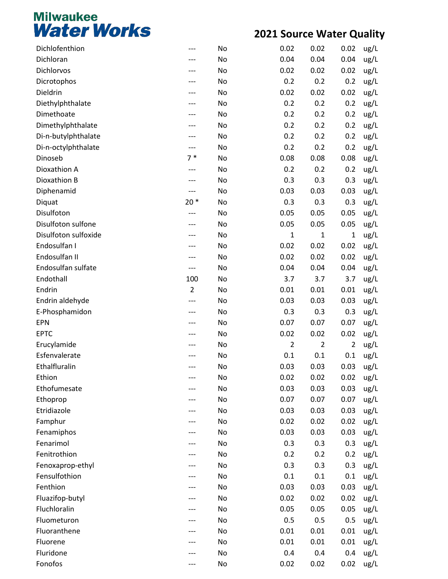| Dichlofenthion          |                | No | 0.02           | 0.02           | 0.02           | ug/L         |
|-------------------------|----------------|----|----------------|----------------|----------------|--------------|
| Dichloran               |                | No | 0.04           | 0.04           | 0.04           | ug/L         |
| Dichlorvos              |                | No | 0.02           | 0.02           | 0.02           | ug/L         |
| Dicrotophos             |                | No | 0.2            | 0.2            | 0.2            | ug/L         |
| Dieldrin                |                | No | 0.02           | 0.02           | 0.02           | ug/L         |
| Diethylphthalate        |                | No | 0.2            | 0.2            | 0.2            | ug/L         |
| Dimethoate              |                | No | 0.2            | 0.2            | 0.2            | ug/L         |
| Dimethylphthalate       |                | No | 0.2            | 0.2            | 0.2            | ug/L         |
| Di-n-butylphthalate     |                | No | 0.2            | 0.2            | 0.2            | ug/L         |
| Di-n-octylphthalate     | ---            | No | 0.2            | 0.2            | 0.2            | ug/L         |
| Dinoseb                 | $7*$           | No | 0.08           | 0.08           | 0.08           | ug/L         |
| Dioxathion A            |                | No | 0.2            | 0.2            | 0.2            | ug/L         |
| Dioxathion B            |                | No | 0.3            | 0.3            | 0.3            | ug/L         |
| Diphenamid              | ---            | No | 0.03           | 0.03           | 0.03           | ug/L         |
| Diquat                  | $20*$          | No | 0.3            | 0.3            | 0.3            | ug/L         |
| Disulfoton              |                | No | 0.05           | 0.05           | 0.05           | ug/L         |
| Disulfoton sulfone      |                | No | 0.05           | 0.05           | 0.05           | ug/L         |
| Disulfoton sulfoxide    |                | No | 1              | $\mathbf{1}$   | $\mathbf 1$    | ug/L         |
| Endosulfan I            |                | No | 0.02           | 0.02           | 0.02           | ug/L         |
| Endosulfan II           |                | No | 0.02           | 0.02           | 0.02           | ug/L         |
| Endosulfan sulfate      | ---            | No | 0.04           | 0.04           | 0.04           | ug/L         |
| Endothall               | 100            | No | 3.7            | 3.7            | 3.7            | ug/L         |
| Endrin                  | $\overline{2}$ | No | 0.01           | 0.01           | 0.01           | ug/L         |
| Endrin aldehyde         | ---            | No | 0.03           | 0.03           | 0.03           | ug/L         |
| E-Phosphamidon          |                | No | 0.3            | 0.3            | 0.3            | ug/L         |
| <b>EPN</b>              |                | No | 0.07           | 0.07           | 0.07           | ug/L         |
| <b>EPTC</b>             |                | No | 0.02           | 0.02           | 0.02           | ug/L         |
| Erucylamide             |                | No | $\overline{2}$ | $\overline{2}$ | $\overline{2}$ | ug/L         |
| Esfenvalerate           |                | No | 0.1            | 0.1            | 0.1            | ug/L         |
| Ethalfluralin           |                | No | 0.03           | 0.03           | 0.03           | ug/L         |
| Ethion                  |                | No | 0.02           | 0.02           | 0.02           |              |
| Ethofumesate            |                | No | 0.03           | 0.03           | 0.03           | ug/L<br>ug/L |
|                         |                | No | 0.07           | 0.07           | 0.07           |              |
| Ethoprop<br>Etridiazole |                | No | 0.03           | 0.03           | 0.03           | ug/L         |
|                         |                | No | 0.02           | 0.02           | 0.02           | ug/L         |
| Famphur                 |                | No | 0.03           | 0.03           | 0.03           | ug/L         |
| Fenamiphos<br>Fenarimol |                |    | 0.3            |                |                | ug/L         |
| Fenitrothion            |                | No | 0.2            | 0.3            | 0.3            | ug/L         |
|                         |                | No |                | 0.2            | 0.2            | ug/L         |
| Fenoxaprop-ethyl        |                | No | 0.3            | 0.3            | 0.3            | ug/L         |
| Fensulfothion           |                | No | 0.1            | 0.1            | 0.1            | ug/L         |
| Fenthion                |                | No | 0.03           | 0.03           | 0.03           | ug/L         |
| Fluazifop-butyl         |                | No | 0.02           | 0.02           | 0.02           | ug/L         |
| Fluchloralin            |                | No | 0.05           | 0.05           | 0.05           | ug/L         |
| Fluometuron             |                | No | 0.5            | 0.5            | 0.5            | ug/L         |
| Fluoranthene            |                | No | 0.01           | 0.01           | 0.01           | ug/L         |
| Fluorene                |                | No | 0.01           | 0.01           | 0.01           | ug/L         |
| Fluridone               |                | No | 0.4            | 0.4            | 0.4            | ug/L         |
| Fonofos                 | ---            | No | 0.02           | 0.02           | 0.02           | ug/L         |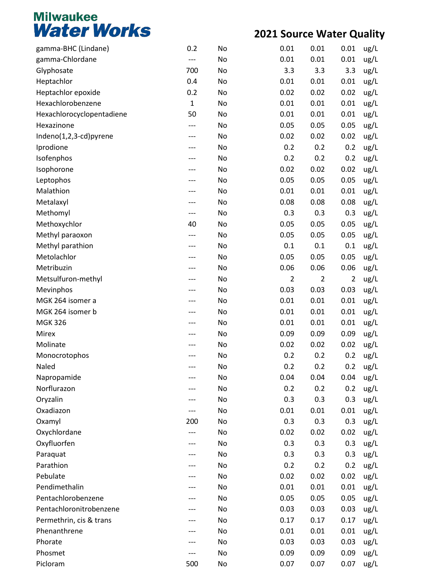| gamma-BHC (Lindane)       | 0.2         | No | 0.01           | 0.01 | 0.01           | ug/L |
|---------------------------|-------------|----|----------------|------|----------------|------|
| gamma-Chlordane           | ---         | No | 0.01           | 0.01 | 0.01           | ug/L |
| Glyphosate                | 700         | No | 3.3            | 3.3  | 3.3            | ug/L |
| Heptachlor                | 0.4         | No | 0.01           | 0.01 | 0.01           | ug/L |
| Heptachlor epoxide        | 0.2         | No | 0.02           | 0.02 | 0.02           | ug/L |
| Hexachlorobenzene         | $\mathbf 1$ | No | 0.01           | 0.01 | 0.01           | ug/L |
| Hexachlorocyclopentadiene | 50          | No | 0.01           | 0.01 | 0.01           | ug/L |
| Hexazinone                | ---         | No | 0.05           | 0.05 | 0.05           | ug/L |
| Indeno(1,2,3-cd)pyrene    | ---         | No | 0.02           | 0.02 | 0.02           | ug/L |
| Iprodione                 | ---         | No | 0.2            | 0.2  | 0.2            | ug/L |
| Isofenphos                | ---         | No | 0.2            | 0.2  | 0.2            | ug/L |
| Isophorone                |             | No | 0.02           | 0.02 | 0.02           | ug/L |
| Leptophos                 | ---         | No | 0.05           | 0.05 | 0.05           | ug/L |
| Malathion                 | ---         | No | 0.01           | 0.01 | 0.01           | ug/L |
| Metalaxyl                 | ---         | No | 0.08           | 0.08 | 0.08           | ug/L |
| Methomyl                  | ---         | No | 0.3            | 0.3  | 0.3            | ug/L |
| Methoxychlor              | 40          | No | 0.05           | 0.05 | 0.05           | ug/L |
| Methyl paraoxon           | ---         | No | 0.05           | 0.05 | 0.05           | ug/L |
| Methyl parathion          | ---         | No | 0.1            | 0.1  | 0.1            | ug/L |
| Metolachlor               |             | No | 0.05           | 0.05 | 0.05           | ug/L |
| Metribuzin                | ---         | No | 0.06           | 0.06 | 0.06           | ug/L |
| Metsulfuron-methyl        | ---         | No | $\overline{2}$ | 2    | $\overline{2}$ | ug/L |
| Mevinphos                 | ---         | No | 0.03           | 0.03 | 0.03           | ug/L |
| MGK 264 isomer a          |             | No | 0.01           | 0.01 | 0.01           | ug/L |
| MGK 264 isomer b          | ---         | No | 0.01           | 0.01 | 0.01           | ug/L |
| <b>MGK 326</b>            | ---         | No | 0.01           | 0.01 | 0.01           | ug/L |
| Mirex                     | ---         | No | 0.09           | 0.09 | 0.09           | ug/L |
| Molinate                  |             | No | 0.02           | 0.02 | 0.02           | ug/L |
| Monocrotophos             |             | No | 0.2            | 0.2  | 0.2            | ug/L |
| Naled                     | ---         | No | 0.2            | 0.2  | 0.2            | ug/L |
| Napropamide               |             | No | 0.04           | 0.04 | 0.04           | ug/L |
| Norflurazon               |             | No | 0.2            | 0.2  | 0.2            | ug/L |
| Oryzalin                  |             | No | 0.3            | 0.3  | 0.3            | ug/L |
| Oxadiazon                 |             | No | 0.01           | 0.01 | 0.01           | ug/L |
| Oxamyl                    | 200         | No | 0.3            | 0.3  | 0.3            | ug/L |
| Oxychlordane              | ---         | No | 0.02           | 0.02 | 0.02           | ug/L |
| Oxyfluorfen               | ---         | No | 0.3            | 0.3  | 0.3            | ug/L |
| Paraquat                  |             | No | 0.3            | 0.3  | 0.3            | ug/L |
| Parathion                 |             | No | 0.2            | 0.2  | 0.2            | ug/L |
| Pebulate                  | ---         | No | 0.02           | 0.02 | 0.02           | ug/L |
| Pendimethalin             | ---         | No | 0.01           | 0.01 | 0.01           | ug/L |
| Pentachlorobenzene        |             | No | 0.05           | 0.05 | 0.05           | ug/L |
| Pentachloronitrobenzene   |             | No | 0.03           | 0.03 | 0.03           | ug/L |
| Permethrin, cis & trans   | ---         | No | 0.17           | 0.17 | 0.17           | ug/L |
| Phenanthrene              |             | No | 0.01           | 0.01 | 0.01           | ug/L |
| Phorate                   |             | No | 0.03           | 0.03 | 0.03           | ug/L |
| Phosmet                   |             | No | 0.09           | 0.09 | 0.09           | ug/L |
| Picloram                  | 500         | No | 0.07           | 0.07 | 0.07           | ug/L |
|                           |             |    |                |      |                |      |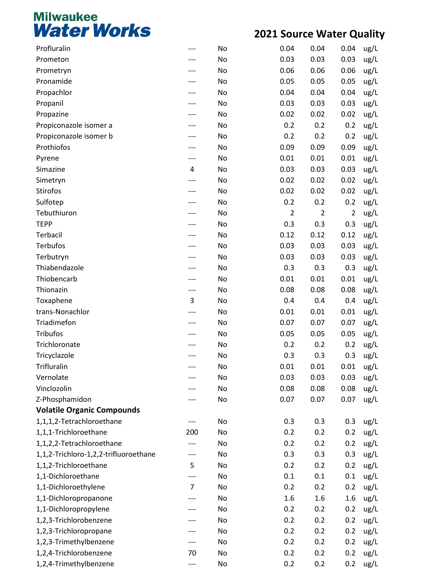| Profluralin                           | ---            | No | 0.04           | 0.04           | 0.04           | ug/L |
|---------------------------------------|----------------|----|----------------|----------------|----------------|------|
| Prometon                              |                | No | 0.03           | 0.03           | 0.03           | ug/L |
| Prometryn                             | ---            | No | 0.06           | 0.06           | 0.06           | ug/L |
| Pronamide                             |                | No | 0.05           | 0.05           | 0.05           | ug/L |
| Propachlor                            |                | No | 0.04           | 0.04           | 0.04           | ug/L |
| Propanil                              | ---            | No | 0.03           | 0.03           | 0.03           | ug/L |
| Propazine                             | ---            | No | 0.02           | 0.02           | 0.02           | ug/L |
| Propiconazole isomer a                | ---            | No | 0.2            | 0.2            | 0.2            | ug/L |
| Propiconazole isomer b                |                | No | 0.2            | 0.2            | 0.2            | ug/L |
| Prothiofos                            | ---            | No | 0.09           | 0.09           | 0.09           | ug/L |
| Pyrene                                | ---            | No | 0.01           | 0.01           | 0.01           | ug/L |
| Simazine                              | 4              | No | 0.03           | 0.03           | 0.03           | ug/L |
| Simetryn                              | ---            | No | 0.02           | 0.02           | 0.02           | ug/L |
| Stirofos                              | ---            | No | 0.02           | 0.02           | 0.02           | ug/L |
| Sulfotep                              | ---            | No | 0.2            | 0.2            | 0.2            | ug/L |
| Tebuthiuron                           |                | No | $\overline{2}$ | $\overline{2}$ | $\overline{2}$ | ug/L |
| <b>TEPP</b>                           |                | No | 0.3            | 0.3            | 0.3            | ug/L |
| Terbacil                              | ---            | No | 0.12           | 0.12           | 0.12           | ug/L |
| Terbufos                              | ---            | No | 0.03           | 0.03           | 0.03           | ug/L |
| Terbutryn                             |                | No | 0.03           | 0.03           | 0.03           | ug/L |
| Thiabendazole                         |                | No | 0.3            | 0.3            | 0.3            | ug/L |
| Thiobencarb                           | ---            | No | 0.01           | 0.01           | 0.01           | ug/L |
| Thionazin                             | ---            | No | 0.08           | 0.08           | 0.08           | ug/L |
| Toxaphene                             | 3              | No | 0.4            | 0.4            | 0.4            | ug/L |
| trans-Nonachlor                       | ---            | No | 0.01           | 0.01           | 0.01           | ug/L |
| Triadimefon                           | ---            | No | 0.07           | 0.07           | 0.07           | ug/L |
| <b>Tribufos</b>                       | ---            | No | 0.05           | 0.05           | 0.05           | ug/L |
| Trichloronate                         |                | No | 0.2            | 0.2            | 0.2            | ug/L |
| Tricyclazole                          |                | No | 0.3            | 0.3            | 0.3            | ug/L |
| Trifluralin                           | ---            | No | 0.01           | 0.01           | 0.01           | ug/L |
| Vernolate                             | ---            | No | 0.03           | 0.03           | 0.03           | ug/L |
| Vinclozolin                           |                | No | 0.08           | 0.08           | 0.08           | ug/L |
| Z-Phosphamidon                        |                | No | 0.07           | 0.07           | 0.07           | ug/L |
| <b>Volatile Organic Compounds</b>     |                |    |                |                |                |      |
| 1,1,1,2-Tetrachloroethane             |                | No | 0.3            | 0.3            | 0.3            | ug/L |
| 1,1,1-Trichloroethane                 | 200            | No | 0.2            | 0.2            | 0.2            | ug/L |
| 1,1,2,2-Tetrachloroethane             |                | No | 0.2            | 0.2            | 0.2            | ug/L |
| 1,1,2-Trichloro-1,2,2-trifluoroethane | ---            | No | 0.3            | 0.3            | 0.3            | ug/L |
| 1,1,2-Trichloroethane                 | 5              | No | 0.2            | 0.2            | 0.2            | ug/L |
| 1,1-Dichloroethane                    | ---            | No | 0.1            | 0.1            | 0.1            | ug/L |
| 1,1-Dichloroethylene                  | $\overline{7}$ | No | 0.2            | 0.2            | 0.2            | ug/L |
| 1,1-Dichloropropanone                 | ---            | No | 1.6            | 1.6            | 1.6            | ug/L |
| 1,1-Dichloropropylene                 | ---            | No | 0.2            | 0.2            | 0.2            | ug/L |
| 1,2,3-Trichlorobenzene                | ---            | No | 0.2            | 0.2            | 0.2            | ug/L |
| 1,2,3-Trichloropropane                | ---            | No | 0.2            | 0.2            | 0.2            | ug/L |
| 1,2,3-Trimethylbenzene                | ---            | No | 0.2            | 0.2            | 0.2            | ug/L |
| 1,2,4-Trichlorobenzene                | 70             | No | 0.2            | 0.2            | 0.2            | ug/L |
| 1,2,4-Trimethylbenzene                | ---            | No | 0.2            | 0.2            | 0.2            | ug/L |
|                                       |                |    |                |                |                |      |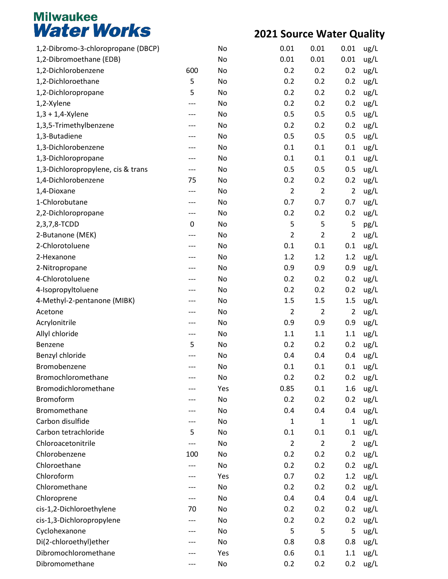| 1,2-Dibromo-3-chloropropane (DBCP) |     | No  | 0.01           | 0.01           | 0.01           | ug/L |
|------------------------------------|-----|-----|----------------|----------------|----------------|------|
| 1,2-Dibromoethane (EDB)            |     | No  | 0.01           | 0.01           | 0.01           | ug/L |
| 1,2-Dichlorobenzene                | 600 | No  | 0.2            | 0.2            | 0.2            | ug/L |
| 1,2-Dichloroethane                 | 5   | No  | 0.2            | 0.2            | 0.2            | ug/L |
| 1,2-Dichloropropane                | 5   | No  | 0.2            | 0.2            | 0.2            | ug/L |
| 1,2-Xylene                         | --- | No  | 0.2            | 0.2            | 0.2            | ug/L |
| $1,3 + 1,4$ -Xylene                |     | No  | 0.5            | 0.5            | 0.5            | ug/L |
| 1,3,5-Trimethylbenzene             |     | No  | 0.2            | 0.2            | 0.2            | ug/L |
| 1,3-Butadiene                      |     | No  | 0.5            | 0.5            | 0.5            | ug/L |
| 1,3-Dichlorobenzene                |     | No  | 0.1            | 0.1            | 0.1            | ug/L |
| 1,3-Dichloropropane                |     | No  | 0.1            | 0.1            | 0.1            | ug/L |
| 1,3-Dichloropropylene, cis & trans | --- | No  | 0.5            | 0.5            | 0.5            | ug/L |
| 1,4-Dichlorobenzene                | 75  | No  | 0.2            | 0.2            | 0.2            | ug/L |
| 1,4-Dioxane                        | --- | No  | $\overline{2}$ | $\overline{2}$ | $\overline{2}$ | ug/L |
| 1-Chlorobutane                     |     | No  | 0.7            | 0.7            | 0.7            | ug/L |
| 2,2-Dichloropropane                | --- | No  | 0.2            | 0.2            | 0.2            | ug/L |
| 2,3,7,8-TCDD                       | 0   | No  | 5              | 5              | 5              | pg/L |
| 2-Butanone (MEK)                   |     | No  | $\overline{2}$ | $\overline{2}$ | $\overline{2}$ | ug/L |
| 2-Chlorotoluene                    |     | No  | 0.1            | 0.1            | 0.1            | ug/L |
| 2-Hexanone                         |     | No  | 1.2            | 1.2            | 1.2            | ug/L |
| 2-Nitropropane                     |     | No  | 0.9            | 0.9            | 0.9            | ug/L |
| 4-Chlorotoluene                    |     | No  | 0.2            | 0.2            | 0.2            | ug/L |
| 4-Isopropyltoluene                 |     | No  | 0.2            | 0.2            | 0.2            | ug/L |
| 4-Methyl-2-pentanone (MIBK)        |     | No  | 1.5            | 1.5            | 1.5            | ug/L |
| Acetone                            |     | No  | $\overline{2}$ | $\overline{2}$ | $\overline{2}$ | ug/L |
| Acrylonitrile                      |     | No  | 0.9            | 0.9            | 0.9            | ug/L |
| Allyl chloride                     | --- | No  | 1.1            | 1.1            | 1.1            | ug/L |
| Benzene                            | 5   | No  | 0.2            | 0.2            | 0.2            | ug/L |
| Benzyl chloride                    |     | No  | 0.4            | 0.4            | 0.4            | ug/L |
| Bromobenzene                       |     | No  | 0.1            | 0.1            | 0.1            | ug/L |
| Bromochloromethane                 |     | No  | 0.2            | 0.2            | 0.2            | ug/L |
| Bromodichloromethane               |     | Yes | 0.85           | 0.1            | 1.6            | ug/L |
| Bromoform                          |     | No  | 0.2            | 0.2            | 0.2            | ug/L |
| Bromomethane                       |     | No  | 0.4            | 0.4            | 0.4            | ug/L |
| Carbon disulfide                   |     | No  | 1              | $\mathbf{1}$   | 1              | ug/L |
| Carbon tetrachloride               | 5   | No  | 0.1            | 0.1            | 0.1            | ug/L |
| Chloroacetonitrile                 |     | No  | $\overline{2}$ | $\overline{2}$ | $\overline{2}$ | ug/L |
| Chlorobenzene                      | 100 | No  | 0.2            | 0.2            | 0.2            | ug/L |
| Chloroethane                       |     | No  | 0.2            | 0.2            | 0.2            | ug/L |
| Chloroform                         |     | Yes | 0.7            | 0.2            | 1.2            | ug/L |
| Chloromethane                      |     | No  | 0.2            | 0.2            | 0.2            | ug/L |
| Chloroprene                        |     | No  | 0.4            | 0.4            | 0.4            | ug/L |
| cis-1,2-Dichloroethylene           | 70  | No  | 0.2            | 0.2            | 0.2            | ug/L |
| cis-1,3-Dichloropropylene          |     | No  | 0.2            | 0.2            | 0.2            | ug/L |
| Cyclohexanone                      |     | No  | 5              | 5              | 5              | ug/L |
| Di(2-chloroethyl)ether             |     | No  | 0.8            | 0.8            | 0.8            | ug/L |
| Dibromochloromethane               |     | Yes | 0.6            | 0.1            | 1.1            | ug/L |
| Dibromomethane                     |     | No  | 0.2            | 0.2            | 0.2            | ug/L |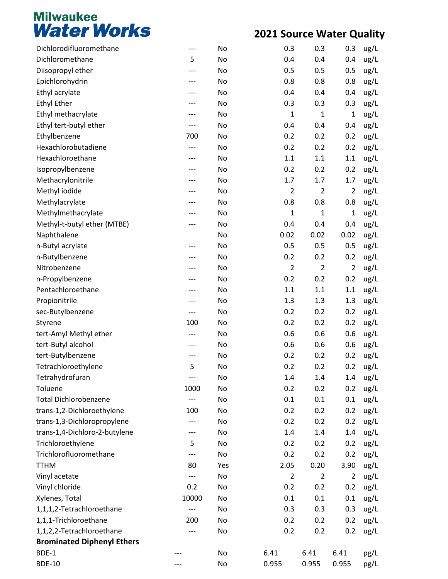| Dichlorodifluoromethane           | ---   | No  | 0.3            | 0.3            | 0.3            | ug/L |
|-----------------------------------|-------|-----|----------------|----------------|----------------|------|
| Dichloromethane                   | 5     | No  | 0.4            | 0.4            | 0.4            | ug/L |
| Diisopropyl ether                 | ---   | No  | 0.5            | 0.5            | 0.5            | ug/L |
| Epichlorohydrin                   |       | No  | 0.8            | 0.8            | 0.8            | ug/L |
| Ethyl acrylate                    |       | No  | 0.4            | 0.4            | 0.4            | ug/L |
| <b>Ethyl Ether</b>                |       | No  | 0.3            | 0.3            | 0.3            | ug/L |
| Ethyl methacrylate                |       | No  | $\mathbf{1}$   | $\mathbf 1$    | 1              | ug/L |
| Ethyl tert-butyl ether            | ---   | No  | 0.4            | 0.4            | 0.4            | ug/L |
| Ethylbenzene                      | 700   | No  | 0.2            | 0.2            | 0.2            | ug/L |
| Hexachlorobutadiene               | ---   | No  | 0.2            | 0.2            | 0.2            | ug/L |
| Hexachloroethane                  | ---   | No  | 1.1            | 1.1            | 1.1            | ug/L |
| Isopropylbenzene                  |       | No  | 0.2            | 0.2            | 0.2            | ug/L |
| Methacrylonitrile                 |       | No  | 1.7            | 1.7            | 1.7            | ug/L |
| Methyl iodide                     |       | No  | $\overline{2}$ | $\overline{2}$ | $\overline{2}$ | ug/L |
| Methylacrylate                    |       | No  | 0.8            | 0.8            | 0.8            | ug/L |
| Methylmethacrylate                |       | No  | $\mathbf{1}$   | $\mathbf{1}$   | $\mathbf 1$    | ug/L |
| Methyl-t-butyl ether (MTBE)       | ---   | No  | 0.4            | 0.4            | 0.4            | ug/L |
| Naphthalene                       |       | No  | 0.02           | 0.02           | 0.02           | ug/L |
| n-Butyl acrylate                  |       | No  | 0.5            | 0.5            | 0.5            | ug/L |
| n-Butylbenzene                    |       | No  | 0.2            | 0.2            | 0.2            | ug/L |
| Nitrobenzene                      |       | No  | $\overline{2}$ | $\overline{2}$ | $\overline{2}$ | ug/L |
| n-Propylbenzene                   |       | No  | 0.2            | 0.2            | 0.2            | ug/L |
| Pentachloroethane                 |       | No  | 1.1            | 1.1            | 1.1            | ug/L |
| Propionitrile                     |       | No  | 1.3            | 1.3            | 1.3            | ug/L |
| sec-Butylbenzene                  | ---   | No  | 0.2            | 0.2            | 0.2            | ug/L |
| Styrene                           | 100   | No  | 0.2            | 0.2            | 0.2            | ug/L |
| tert-Amyl Methyl ether            |       | No  | 0.6            | 0.6            | 0.6            | ug/L |
| tert-Butyl alcohol                |       | No  | 0.6            | 0.6            | 0.6            | ug/L |
| tert-Butylbenzene                 | ---   | No  | 0.2            | 0.2            | 0.2            | ug/L |
| Tetrachloroethylene               | 5     | No  | 0.2            | 0.2            | 0.2            | ug/L |
| Tetrahydrofuran                   | ---   | No  | 1.4            | 1.4            | 1.4            | ug/L |
| Toluene                           | 1000  | No  | 0.2            | 0.2            | 0.2            | ug/L |
| <b>Total Dichlorobenzene</b>      |       | No  | 0.1            | 0.1            | 0.1            | ug/L |
| trans-1,2-Dichloroethylene        | 100   | No  | 0.2            | 0.2            | 0.2            | ug/L |
| trans-1,3-Dichloropropylene       |       | No  | 0.2            | 0.2            | 0.2            | ug/L |
| trans-1,4-Dichloro-2-butylene     | ---   | No  | 1.4            | 1.4            | 1.4            | ug/L |
| Trichloroethylene                 | 5     | No  | 0.2            | 0.2            | 0.2            | ug/L |
| Trichlorofluoromethane            | ---   | No  | 0.2            | 0.2            | 0.2            | ug/L |
| <b>TTHM</b>                       | 80    | Yes | 2.05           | 0.20           | 3.90           | ug/L |
| Vinyl acetate                     | ---   | No  | $\overline{2}$ | $\overline{2}$ | $\overline{2}$ | ug/L |
| Vinyl chloride                    | 0.2   | No  | 0.2            | 0.2            | 0.2            | ug/L |
| Xylenes, Total                    | 10000 | No  | 0.1            | 0.1            | 0.1            | ug/L |
| 1,1,1,2-Tetrachloroethane         | $---$ | No  | 0.3            | 0.3            | 0.3            | ug/L |
| 1,1,1-Trichloroethane             | 200   | No  | 0.2            | 0.2            | 0.2            | ug/L |
| 1,1,2,2-Tetrachloroethane         |       | No  | 0.2            | 0.2            | 0.2            | ug/L |
| <b>Brominated Diphenyl Ethers</b> |       |     |                |                |                |      |
| BDE-1                             |       | No  | 6.41           | 6.41           | 6.41           | pg/L |
| <b>BDE-10</b>                     |       | No  | 0.955          | 0.955          | 0.955          | pg/L |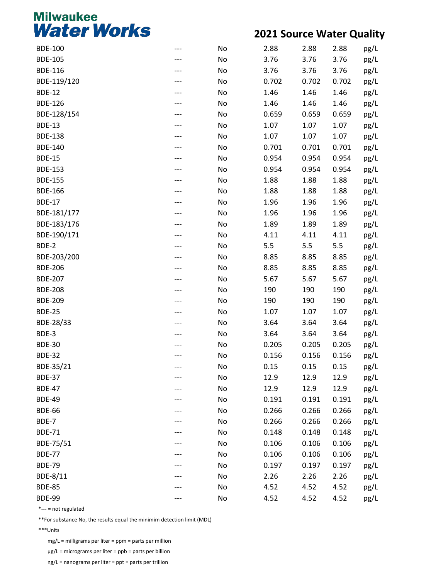#### **2021 Source Water Quality**

| <b>BDE-100</b> | No | 2.88  | 2.88  | 2.88  | pg/L |
|----------------|----|-------|-------|-------|------|
| <b>BDE-105</b> | No | 3.76  | 3.76  | 3.76  | pg/L |
| <b>BDE-116</b> | No | 3.76  | 3.76  | 3.76  | pg/L |
| BDE-119/120    | No | 0.702 | 0.702 | 0.702 | pg/L |
| <b>BDE-12</b>  | No | 1.46  | 1.46  | 1.46  | pg/L |
| <b>BDE-126</b> | No | 1.46  | 1.46  | 1.46  | pg/L |
| BDE-128/154    | No | 0.659 | 0.659 | 0.659 | pg/L |
| <b>BDE-13</b>  | No | 1.07  | 1.07  | 1.07  | pg/L |
| <b>BDE-138</b> | No | 1.07  | 1.07  | 1.07  | pg/L |
| <b>BDE-140</b> | No | 0.701 | 0.701 | 0.701 | pg/L |
| <b>BDE-15</b>  | No | 0.954 | 0.954 | 0.954 | pg/L |
| <b>BDE-153</b> | No | 0.954 | 0.954 | 0.954 | pg/L |
| <b>BDE-155</b> | No | 1.88  | 1.88  | 1.88  | pg/L |
| <b>BDE-166</b> | No | 1.88  | 1.88  | 1.88  | pg/L |
| <b>BDE-17</b>  | No | 1.96  | 1.96  | 1.96  | pg/L |
| BDE-181/177    | No | 1.96  | 1.96  | 1.96  | pg/L |
| BDE-183/176    | No | 1.89  | 1.89  | 1.89  | pg/L |
| BDE-190/171    | No | 4.11  | 4.11  | 4.11  | pg/L |
| BDE-2          | No | 5.5   | 5.5   | 5.5   | pg/L |
| BDE-203/200    | No | 8.85  | 8.85  | 8.85  | pg/L |
| <b>BDE-206</b> | No | 8.85  | 8.85  | 8.85  | pg/L |
| <b>BDE-207</b> | No | 5.67  | 5.67  | 5.67  | pg/L |
| <b>BDE-208</b> | No | 190   | 190   | 190   | pg/L |
| <b>BDE-209</b> | No | 190   | 190   | 190   | pg/L |
| <b>BDE-25</b>  | No | 1.07  | 1.07  | 1.07  | pg/L |
| BDE-28/33      | No | 3.64  | 3.64  | 3.64  | pg/L |
| BDE-3          | No | 3.64  | 3.64  | 3.64  | pg/L |
| <b>BDE-30</b>  | No | 0.205 | 0.205 | 0.205 | pg/L |
| <b>BDE-32</b>  | No | 0.156 | 0.156 | 0.156 | pg/L |
| BDE-35/21      | No | 0.15  | 0.15  | 0.15  | pg/L |
| <b>BDE-37</b>  | No | 12.9  | 12.9  | 12.9  | pg/L |
| <b>BDE-47</b>  | No | 12.9  | 12.9  | 12.9  | pg/L |
| <b>BDE-49</b>  | No | 0.191 | 0.191 | 0.191 | pg/L |
| <b>BDE-66</b>  | No | 0.266 | 0.266 | 0.266 | pg/L |
| BDE-7          | No | 0.266 | 0.266 | 0.266 | pg/L |
| <b>BDE-71</b>  | No | 0.148 | 0.148 | 0.148 | pg/L |
| BDE-75/51      | No | 0.106 | 0.106 | 0.106 | pg/L |
| <b>BDE-77</b>  | No | 0.106 | 0.106 | 0.106 | pg/L |
| <b>BDE-79</b>  | No | 0.197 | 0.197 | 0.197 | pg/L |
| BDE-8/11       | No | 2.26  | 2.26  | 2.26  | pg/L |
| <b>BDE-85</b>  | No | 4.52  | 4.52  | 4.52  | pg/L |
| <b>BDE-99</b>  | No | 4.52  | 4.52  | 4.52  | pg/L |
|                |    |       |       |       |      |

\*--- = not regulated

\*\*For substance No, the results equal the minimim detection limit (MDL)

\*\*\*Units

mg/L = milligrams per liter = ppm = parts per million

µg/L = micrograms per liter = ppb = parts per billion

ng/L = nanograms per liter = ppt = parts per trillion